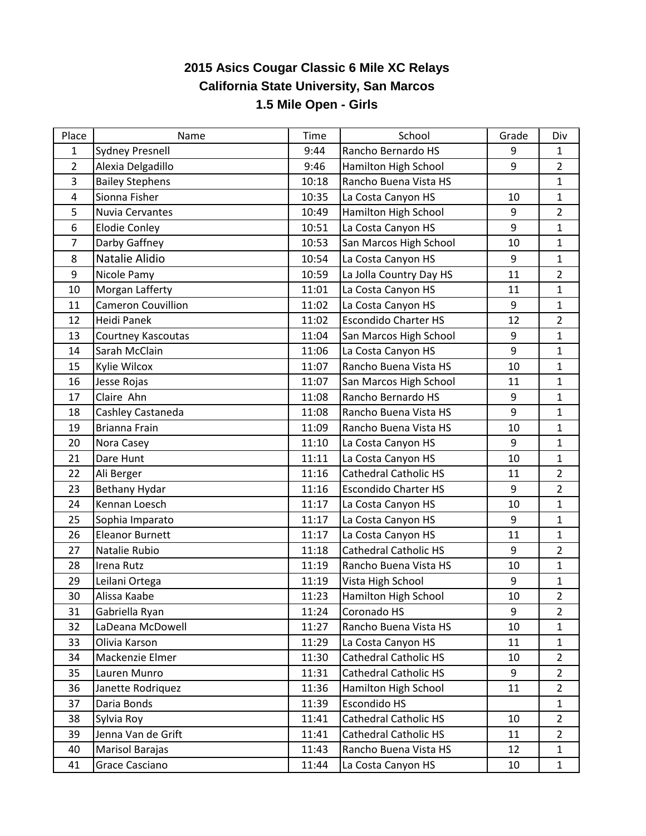## **2015 Asics Cougar Classic 6 Mile XC Relays California State University, San Marcos 1.5 Mile Open - Girls**

| Place          | Name                      | <b>Time</b> | School                       | Grade            | Div            |
|----------------|---------------------------|-------------|------------------------------|------------------|----------------|
| $\mathbf{1}$   | <b>Sydney Presnell</b>    | 9:44        | Rancho Bernardo HS           | 9                | $\mathbf{1}$   |
| $\overline{2}$ | Alexia Delgadillo         | 9:46        | Hamilton High School         | $\boldsymbol{9}$ | $\overline{2}$ |
| 3              | <b>Bailey Stephens</b>    | 10:18       | Rancho Buena Vista HS        |                  | $\mathbf{1}$   |
| 4              | Sionna Fisher             | 10:35       | La Costa Canyon HS           | 10               | $\mathbf{1}$   |
| 5              | Nuvia Cervantes           | 10:49       | Hamilton High School         | 9                | $\overline{2}$ |
| 6              | <b>Elodie Conley</b>      | 10:51       | La Costa Canyon HS           | 9                | $\mathbf{1}$   |
| 7              | Darby Gaffney             | 10:53       | San Marcos High School       | 10               | $\mathbf{1}$   |
| 8              | Natalie Alidio            | 10:54       | La Costa Canyon HS           | 9                | $\mathbf{1}$   |
| 9              | Nicole Pamy               | 10:59       | La Jolla Country Day HS      | 11               | $\overline{2}$ |
| 10             | Morgan Lafferty           | 11:01       | La Costa Canyon HS           | 11               | $\mathbf{1}$   |
| 11             | <b>Cameron Couvillion</b> | 11:02       | La Costa Canyon HS           | 9                | $\mathbf{1}$   |
| 12             | Heidi Panek               | 11:02       | <b>Escondido Charter HS</b>  | 12               | $\overline{2}$ |
| 13             | Courtney Kascoutas        | 11:04       | San Marcos High School       | $\boldsymbol{9}$ | $\mathbf{1}$   |
| 14             | Sarah McClain             | 11:06       | La Costa Canyon HS           | 9                | $\mathbf{1}$   |
| 15             | Kylie Wilcox              | 11:07       | Rancho Buena Vista HS        | 10               | $\mathbf{1}$   |
| 16             | Jesse Rojas               | 11:07       | San Marcos High School       | 11               | $\mathbf{1}$   |
| 17             | Claire Ahn                | 11:08       | Rancho Bernardo HS           | 9                | $\mathbf{1}$   |
| 18             | Cashley Castaneda         | 11:08       | Rancho Buena Vista HS        | 9                | $\mathbf{1}$   |
| 19             | Brianna Frain             | 11:09       | Rancho Buena Vista HS        | 10               | $\mathbf{1}$   |
| 20             | Nora Casey                | 11:10       | La Costa Canyon HS           | 9                | $\mathbf{1}$   |
| 21             | Dare Hunt                 | 11:11       | La Costa Canyon HS           | 10               | $\mathbf{1}$   |
| 22             | Ali Berger                | 11:16       | <b>Cathedral Catholic HS</b> | 11               | $\overline{2}$ |
| 23             | Bethany Hydar             | 11:16       | <b>Escondido Charter HS</b>  | 9                | $\overline{2}$ |
| 24             | Kennan Loesch             | 11:17       | La Costa Canyon HS           | 10               | $\mathbf{1}$   |
| 25             | Sophia Imparato           | 11:17       | La Costa Canyon HS           | 9                | $\mathbf{1}$   |
| 26             | <b>Eleanor Burnett</b>    | 11:17       | La Costa Canyon HS           | 11               | $\mathbf{1}$   |
| 27             | Natalie Rubio             | 11:18       | <b>Cathedral Catholic HS</b> | $9\,$            | $\overline{2}$ |
| 28             | Irena Rutz                | 11:19       | Rancho Buena Vista HS        | 10               | $\mathbf{1}$   |
| 29             | Leilani Ortega            | 11:19       | Vista High School            | $\boldsymbol{9}$ | $\mathbf{1}$   |
| 30             | Alissa Kaabe              | 11:23       | Hamilton High School         | 10               | $\overline{2}$ |
| 31             | Gabriella Ryan            | 11:24       | Coronado HS                  | 9                | $\overline{2}$ |
| 32             | LaDeana McDowell          | 11:27       | Rancho Buena Vista HS        | 10               | $\mathbf{1}$   |
| 33             | Olivia Karson             | 11:29       | La Costa Canyon HS           | 11               | $\mathbf{1}$   |
| 34             | Mackenzie Elmer           | 11:30       | <b>Cathedral Catholic HS</b> | 10               | $\overline{2}$ |
| 35             | Lauren Munro              | 11:31       | <b>Cathedral Catholic HS</b> | 9                | $\overline{2}$ |
| 36             | Janette Rodriquez         | 11:36       | Hamilton High School         | 11               | $\overline{2}$ |
| 37             | Daria Bonds               | 11:39       | <b>Escondido HS</b>          |                  | $\mathbf{1}$   |
| 38             | Sylvia Roy                | 11:41       | <b>Cathedral Catholic HS</b> | 10               | $2^{\circ}$    |
| 39             | Jenna Van de Grift        | 11:41       | <b>Cathedral Catholic HS</b> | 11               | $\overline{2}$ |
| 40             | Marisol Barajas           | 11:43       | Rancho Buena Vista HS        | 12               | $\mathbf{1}$   |
| 41             | Grace Casciano            | 11:44       | La Costa Canyon HS           | 10               | $\mathbf{1}$   |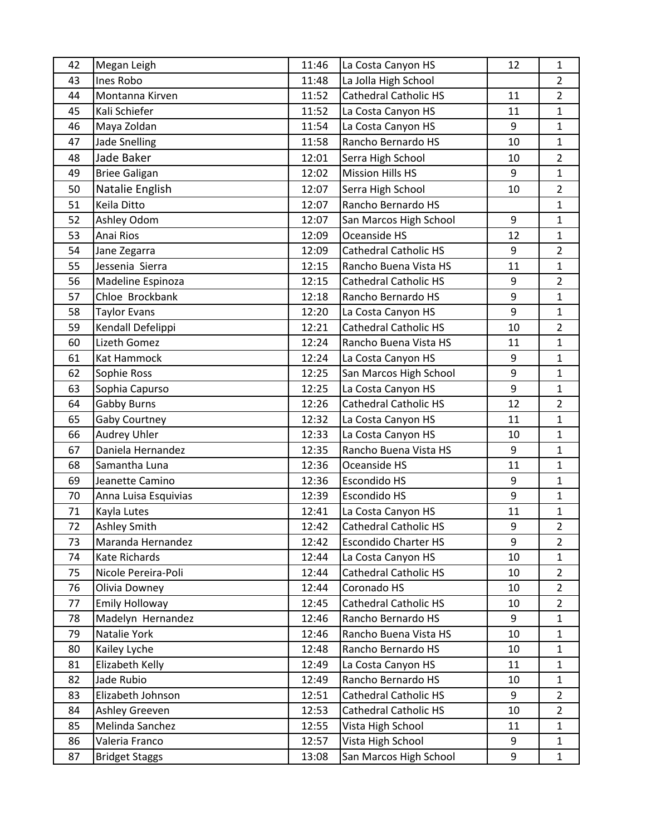| 42 | Megan Leigh           | 11:46 | La Costa Canyon HS           | 12               | 1              |
|----|-----------------------|-------|------------------------------|------------------|----------------|
| 43 | Ines Robo             | 11:48 | La Jolla High School         |                  | $\overline{2}$ |
| 44 | Montanna Kirven       | 11:52 | <b>Cathedral Catholic HS</b> | 11               | $\overline{2}$ |
| 45 | Kali Schiefer         | 11:52 | La Costa Canyon HS           | 11               | $\mathbf{1}$   |
| 46 | Maya Zoldan           | 11:54 | La Costa Canyon HS           | 9                | $\mathbf{1}$   |
| 47 | <b>Jade Snelling</b>  | 11:58 | Rancho Bernardo HS           | 10               | $\mathbf{1}$   |
| 48 | Jade Baker            | 12:01 | Serra High School            | 10               | $\overline{2}$ |
| 49 | <b>Briee Galigan</b>  | 12:02 | <b>Mission Hills HS</b>      | 9                | $\mathbf{1}$   |
| 50 | Natalie English       | 12:07 | Serra High School            | 10               | $\overline{2}$ |
| 51 | Keila Ditto           | 12:07 | Rancho Bernardo HS           |                  | $\mathbf{1}$   |
| 52 | Ashley Odom           | 12:07 | San Marcos High School       | 9                | $\mathbf{1}$   |
| 53 | Anai Rios             | 12:09 | Oceanside HS                 | 12               | $\mathbf{1}$   |
| 54 | Jane Zegarra          | 12:09 | <b>Cathedral Catholic HS</b> | 9                | $\overline{2}$ |
| 55 | Jessenia Sierra       | 12:15 | Rancho Buena Vista HS        | 11               | $\mathbf{1}$   |
| 56 | Madeline Espinoza     | 12:15 | <b>Cathedral Catholic HS</b> | 9                | $\overline{2}$ |
| 57 | Chloe Brockbank       | 12:18 | Rancho Bernardo HS           | 9                | $\mathbf{1}$   |
| 58 | <b>Taylor Evans</b>   | 12:20 | La Costa Canyon HS           | 9                | $\mathbf{1}$   |
| 59 | Kendall Defelippi     | 12:21 | <b>Cathedral Catholic HS</b> | 10               | $\overline{2}$ |
| 60 | Lizeth Gomez          | 12:24 | Rancho Buena Vista HS        | 11               | $\mathbf{1}$   |
| 61 | Kat Hammock           | 12:24 | La Costa Canyon HS           | 9                | $\mathbf{1}$   |
| 62 | Sophie Ross           | 12:25 | San Marcos High School       | 9                | $\mathbf{1}$   |
| 63 | Sophia Capurso        | 12:25 | La Costa Canyon HS           | 9                | $\mathbf{1}$   |
| 64 | <b>Gabby Burns</b>    | 12:26 | <b>Cathedral Catholic HS</b> | 12               | $\overline{2}$ |
| 65 | <b>Gaby Courtney</b>  | 12:32 | La Costa Canyon HS           | 11               | $\mathbf{1}$   |
| 66 | <b>Audrey Uhler</b>   | 12:33 | La Costa Canyon HS           | 10               | $\mathbf{1}$   |
| 67 | Daniela Hernandez     | 12:35 | Rancho Buena Vista HS        | 9                | $\mathbf{1}$   |
| 68 | Samantha Luna         | 12:36 | Oceanside HS                 | 11               | $\mathbf{1}$   |
| 69 | Jeanette Camino       | 12:36 | Escondido HS                 | 9                | $\mathbf{1}$   |
| 70 | Anna Luisa Esquivias  | 12:39 | <b>Escondido HS</b>          | 9                | $\mathbf{1}$   |
| 71 | Kayla Lutes           | 12:41 | La Costa Canyon HS           | 11               | $\mathbf{1}$   |
| 72 | <b>Ashley Smith</b>   | 12:42 | <b>Cathedral Catholic HS</b> | $\boldsymbol{9}$ | 2              |
| 73 | Maranda Hernandez     | 12:42 | <b>Escondido Charter HS</b>  | 9                | $\overline{2}$ |
| 74 | Kate Richards         | 12:44 | La Costa Canyon HS           | 10               | $\mathbf{1}$   |
| 75 | Nicole Pereira-Poli   | 12:44 | <b>Cathedral Catholic HS</b> | 10               | $\overline{2}$ |
| 76 | Olivia Downey         | 12:44 | Coronado HS                  | 10               | $\overline{2}$ |
| 77 | <b>Emily Holloway</b> | 12:45 | <b>Cathedral Catholic HS</b> | 10               | $\overline{2}$ |
| 78 | Madelyn Hernandez     | 12:46 | Rancho Bernardo HS           | 9                | $\mathbf{1}$   |
| 79 | Natalie York          | 12:46 | Rancho Buena Vista HS        | 10               | $\mathbf{1}$   |
| 80 | Kailey Lyche          | 12:48 | Rancho Bernardo HS           | 10               | $\mathbf{1}$   |
| 81 | Elizabeth Kelly       | 12:49 | La Costa Canyon HS           | 11               | $\mathbf{1}$   |
| 82 | Jade Rubio            | 12:49 | Rancho Bernardo HS           | 10               | $\mathbf{1}$   |
| 83 | Elizabeth Johnson     | 12:51 | <b>Cathedral Catholic HS</b> | 9                | $\overline{2}$ |
| 84 | Ashley Greeven        | 12:53 | <b>Cathedral Catholic HS</b> | 10               | $\overline{2}$ |
| 85 | Melinda Sanchez       | 12:55 | Vista High School            | 11               | $\mathbf{1}$   |
| 86 | Valeria Franco        | 12:57 | Vista High School            | 9                | $\mathbf{1}$   |
| 87 | <b>Bridget Staggs</b> | 13:08 | San Marcos High School       | 9                | $\mathbf{1}$   |